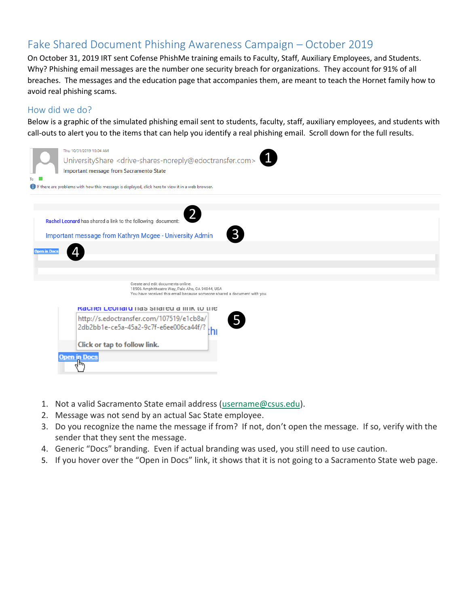# Fake Shared Document Phishing Awareness Campaign – October 2019

On October 31, 2019 IRT sent Cofense PhishMe training emails to Faculty, Staff, Auxiliary Employees, and Students. Why? Phishing email messages are the number one security breach for organizations. They account for 91% of all breaches. The messages and the education page that accompanies them, are meant to teach the Hornet family how to avoid real phishing scams.

## How did we do?

Below is a graphic of the simulated phishing email sent to students, faculty, staff, auxiliary employees, and students with call-outs to alert you to the items that can help you identify a real phishing email. Scroll down for the full results.

| To                  | Thu 10/31/2019 10:04 AM<br>UniversityShare <drive-shares-noreply@edoctransfer.com><br/>Important message from Sacramento State<br/><b>f</b> If there are problems with how this message is displayed, click here to view it in a web browser.</drive-shares-noreply@edoctransfer.com> |
|---------------------|---------------------------------------------------------------------------------------------------------------------------------------------------------------------------------------------------------------------------------------------------------------------------------------|
|                     |                                                                                                                                                                                                                                                                                       |
|                     |                                                                                                                                                                                                                                                                                       |
|                     | Rachel Leonard has shared a link to the following document:                                                                                                                                                                                                                           |
|                     | Important message from Kathryn Mcgee - University Admin                                                                                                                                                                                                                               |
| <b>Open in Docs</b> |                                                                                                                                                                                                                                                                                       |
|                     |                                                                                                                                                                                                                                                                                       |
|                     |                                                                                                                                                                                                                                                                                       |
|                     | Create and edit documents online.<br>18906 Amphitheatre Way, Palo Alto, CA 94044, USA<br>You have received this email because someone shared a document with you.                                                                                                                     |
|                     | <b>Raction Leonard has stidled a little to the</b>                                                                                                                                                                                                                                    |
|                     | 5<br>http://s.edoctransfer.com/107519/e1cb8a/<br>2db2bb1e-ce5a-45a2-9c7f-e6ee006ca44f/?<br>th                                                                                                                                                                                         |
|                     | Click or tap to follow link.                                                                                                                                                                                                                                                          |
|                     | <u>Open in Docs</u>                                                                                                                                                                                                                                                                   |
|                     |                                                                                                                                                                                                                                                                                       |

- 1. Not a valid Sacramento State email address [\(username@csus.edu\)](mailto:username@csus.edu).
- 2. Message was not send by an actual Sac State employee.
- 3. Do you recognize the name the message if from? If not, don't open the message. If so, verify with the sender that they sent the message.
- 4. Generic "Docs" branding. Even if actual branding was used, you still need to use caution.
- 5. If you hover over the "Open in Docs" link, it shows that it is not going to a Sacramento State web page.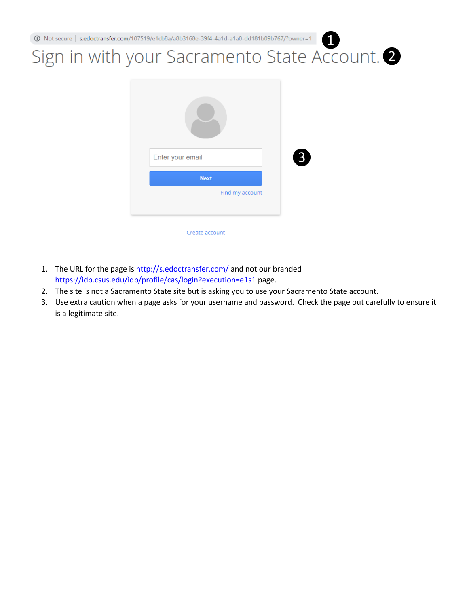# ❶ Sign in with your Sacramento State Account. 2



- 1. The URL for the page is <http://s.edoctransfer.com/> and not our branded <https://idp.csus.edu/idp/profile/cas/login?execution=e1s1> page.
- 2. The site is not a Sacramento State site but is asking you to use your Sacramento State account.
- 3. Use extra caution when a page asks for your username and password. Check the page out carefully to ensure it is a legitimate site.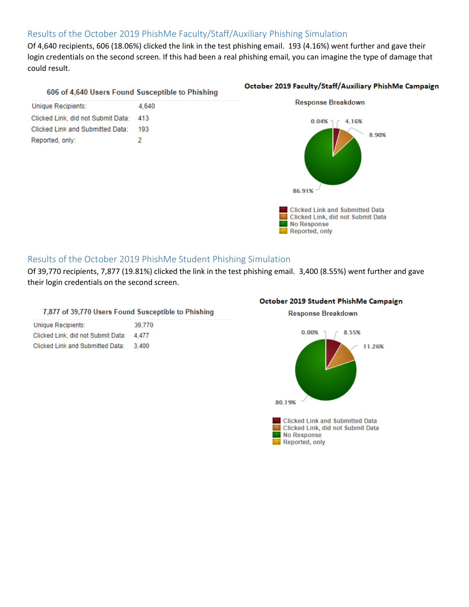# Results of the October 2019 PhishMe Faculty/Staff/Auxiliary Phishing Simulation

Of 4,640 recipients, 606 (18.06%) clicked the link in the test phishing email. 193 (4.16%) went further and gave their login credentials on the second screen. If this had been a real phishing email, you can imagine the type of damage that could result.

#### 606 of 4,640 Users Found Susceptible to Phishing

| Unique Recipients:                 | 4.640 |
|------------------------------------|-------|
| Clicked Link, did not Submit Data: | 413   |
| Clicked Link and Submitted Data:   | 193   |
| Reported, only:                    | 2     |

#### October 2019 Faculty/Staff/Auxiliary PhishMe Campaign



### Results of the October 2019 PhishMe Student Phishing Simulation

Of 39,770 recipients, 7,877 (19.81%) clicked the link in the test phishing email. 3,400 (8.55%) went further and gave their login credentials on the second screen.

#### 7,877 of 39,770 Users Found Susceptible to Phishing

| Unique Recipients:                 | 39.770 |
|------------------------------------|--------|
| Clicked Link, did not Submit Data: | 4.477  |
| Clicked Link and Submitted Data:   | 3.400  |

#### October 2019 Student PhishMe Campaign

**Response Breakdown**